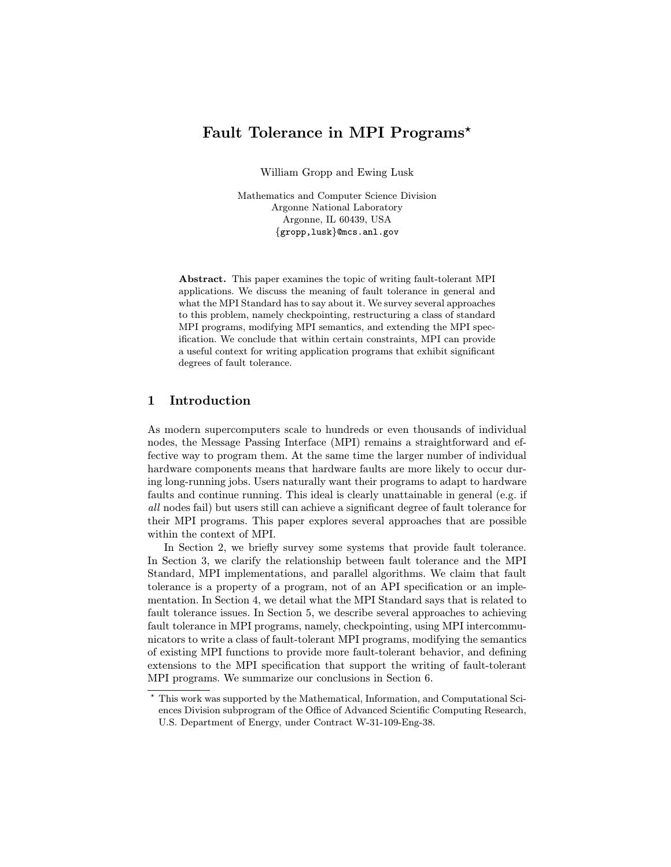# Fault Tolerance in MPI Programs\*

William Gropp and Ewing Lusk

Mathematics and Computer Science Division Argonne National Laboratory Argonne, IL 60439, USA {gropp,lusk}@mcs.anl.gov

Abstract. This paper examines the topic of writing fault-tolerant MPI applications. We discuss the meaning of fault tolerance in general and what the MPI Standard has to say about it. We survey several approaches to this problem, namely checkpointing, restructuring a class of standard MPI programs, modifying MPI semantics, and extending the MPI specification. We conclude that within certain constraints, MPI can provide a useful context for writing application programs that exhibit significant degrees of fault tolerance.

## 1 Introduction

As modern supercomputers scale to hundreds or even thousands of individual nodes, the Message Passing Interface (MPI) remains a straightforward and effective way to program them. At the same time the larger number of individual hardware components means that hardware faults are more likely to occur during long-running jobs. Users naturally want their programs to adapt to hardware faults and continue running. This ideal is clearly unattainable in general (e.g. if all nodes fail) but users still can achieve a significant degree of fault tolerance for their MPI programs. This paper explores several approaches that are possible within the context of MPI.

In Section 2, we briefly survey some systems that provide fault tolerance. In Section 3, we clarify the relationship between fault tolerance and the MPI Standard, MPI implementations, and parallel algorithms. We claim that fault tolerance is a property of a program, not of an API specification or an implementation. In Section 4, we detail what the MPI Standard says that is related to fault tolerance issues. In Section 5, we describe several approaches to achieving fault tolerance in MPI programs, namely, checkpointing, using MPI intercommunicators to write a class of fault-tolerant MPI programs, modifying the semantics of existing MPI functions to provide more fault-tolerant behavior, and defining extensions to the MPI specification that support the writing of fault-tolerant MPI programs. We summarize our conclusions in Section 6.

 $^\star$  This work was supported by the Mathematical, Information, and Computational Sciences Division subprogram of the Office of Advanced Scientific Computing Research, U.S. Department of Energy, under Contract W-31-109-Eng-38.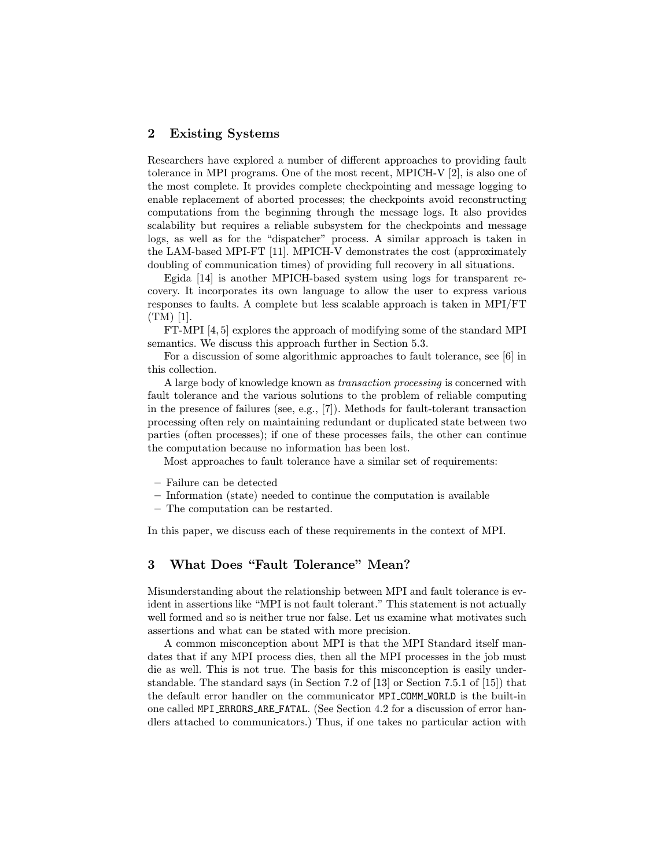### 2 Existing Systems

Researchers have explored a number of different approaches to providing fault tolerance in MPI programs. One of the most recent, MPICH-V [2], is also one of the most complete. It provides complete checkpointing and message logging to enable replacement of aborted processes; the checkpoints avoid reconstructing computations from the beginning through the message logs. It also provides scalability but requires a reliable subsystem for the checkpoints and message logs, as well as for the "dispatcher" process. A similar approach is taken in the LAM-based MPI-FT [11]. MPICH-V demonstrates the cost (approximately doubling of communication times) of providing full recovery in all situations.

Egida [14] is another MPICH-based system using logs for transparent recovery. It incorporates its own language to allow the user to express various responses to faults. A complete but less scalable approach is taken in MPI/FT (TM) [1].

FT-MPI [4, 5] explores the approach of modifying some of the standard MPI semantics. We discuss this approach further in Section 5.3.

For a discussion of some algorithmic approaches to fault tolerance, see [6] in this collection.

A large body of knowledge known as transaction processing is concerned with fault tolerance and the various solutions to the problem of reliable computing in the presence of failures (see, e.g., [7]). Methods for fault-tolerant transaction processing often rely on maintaining redundant or duplicated state between two parties (often processes); if one of these processes fails, the other can continue the computation because no information has been lost.

Most approaches to fault tolerance have a similar set of requirements:

- Failure can be detected
- Information (state) needed to continue the computation is available
- The computation can be restarted.

In this paper, we discuss each of these requirements in the context of MPI.

### 3 What Does "Fault Tolerance" Mean?

Misunderstanding about the relationship between MPI and fault tolerance is evident in assertions like "MPI is not fault tolerant." This statement is not actually well formed and so is neither true nor false. Let us examine what motivates such assertions and what can be stated with more precision.

A common misconception about MPI is that the MPI Standard itself mandates that if any MPI process dies, then all the MPI processes in the job must die as well. This is not true. The basis for this misconception is easily understandable. The standard says (in Section 7.2 of [13] or Section 7.5.1 of [15]) that the default error handler on the communicator MPI COMM WORLD is the built-in one called MPI ERRORS ARE FATAL. (See Section 4.2 for a discussion of error handlers attached to communicators.) Thus, if one takes no particular action with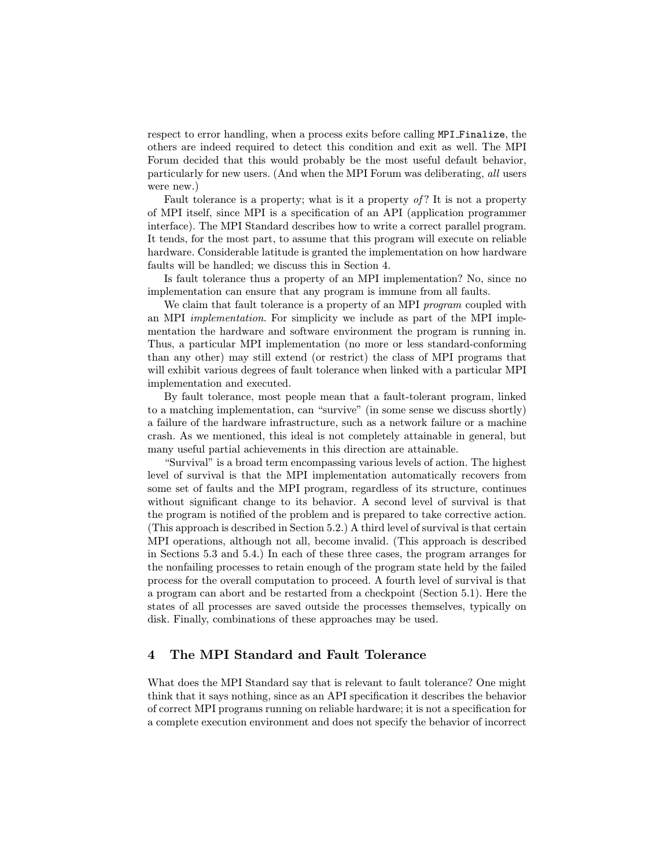respect to error handling, when a process exits before calling MPI Finalize, the others are indeed required to detect this condition and exit as well. The MPI Forum decided that this would probably be the most useful default behavior, particularly for new users. (And when the MPI Forum was deliberating, all users were new.)

Fault tolerance is a property; what is it a property of? It is not a property of MPI itself, since MPI is a specification of an API (application programmer interface). The MPI Standard describes how to write a correct parallel program. It tends, for the most part, to assume that this program will execute on reliable hardware. Considerable latitude is granted the implementation on how hardware faults will be handled; we discuss this in Section 4.

Is fault tolerance thus a property of an MPI implementation? No, since no implementation can ensure that any program is immune from all faults.

We claim that fault tolerance is a property of an MPI *program* coupled with an MPI implementation. For simplicity we include as part of the MPI implementation the hardware and software environment the program is running in. Thus, a particular MPI implementation (no more or less standard-conforming than any other) may still extend (or restrict) the class of MPI programs that will exhibit various degrees of fault tolerance when linked with a particular MPI implementation and executed.

By fault tolerance, most people mean that a fault-tolerant program, linked to a matching implementation, can "survive" (in some sense we discuss shortly) a failure of the hardware infrastructure, such as a network failure or a machine crash. As we mentioned, this ideal is not completely attainable in general, but many useful partial achievements in this direction are attainable.

"Survival" is a broad term encompassing various levels of action. The highest level of survival is that the MPI implementation automatically recovers from some set of faults and the MPI program, regardless of its structure, continues without significant change to its behavior. A second level of survival is that the program is notified of the problem and is prepared to take corrective action. (This approach is described in Section 5.2.) A third level of survival is that certain MPI operations, although not all, become invalid. (This approach is described in Sections 5.3 and 5.4.) In each of these three cases, the program arranges for the nonfailing processes to retain enough of the program state held by the failed process for the overall computation to proceed. A fourth level of survival is that a program can abort and be restarted from a checkpoint (Section 5.1). Here the states of all processes are saved outside the processes themselves, typically on disk. Finally, combinations of these approaches may be used.

### 4 The MPI Standard and Fault Tolerance

What does the MPI Standard say that is relevant to fault tolerance? One might think that it says nothing, since as an API specification it describes the behavior of correct MPI programs running on reliable hardware; it is not a specification for a complete execution environment and does not specify the behavior of incorrect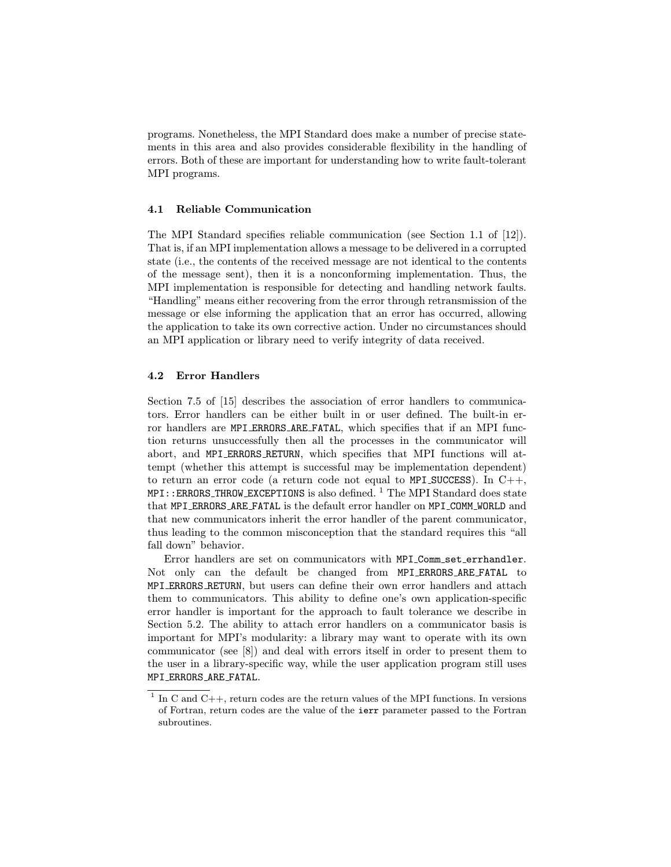programs. Nonetheless, the MPI Standard does make a number of precise statements in this area and also provides considerable flexibility in the handling of errors. Both of these are important for understanding how to write fault-tolerant MPI programs.

### 4.1 Reliable Communication

The MPI Standard specifies reliable communication (see Section 1.1 of [12]). That is, if an MPI implementation allows a message to be delivered in a corrupted state (i.e., the contents of the received message are not identical to the contents of the message sent), then it is a nonconforming implementation. Thus, the MPI implementation is responsible for detecting and handling network faults. "Handling" means either recovering from the error through retransmission of the message or else informing the application that an error has occurred, allowing the application to take its own corrective action. Under no circumstances should an MPI application or library need to verify integrity of data received.

### 4.2 Error Handlers

Section 7.5 of [15] describes the association of error handlers to communicators. Error handlers can be either built in or user defined. The built-in error handlers are MPI ERRORS ARE FATAL, which specifies that if an MPI function returns unsuccessfully then all the processes in the communicator will abort, and MPI ERRORS RETURN, which specifies that MPI functions will attempt (whether this attempt is successful may be implementation dependent) to return an error code (a return code not equal to MPI SUCCESS). In  $C++$ ,  $MPI: ERRORS_IHROW\_EXCEPTIONS$  is also defined.<sup>1</sup> The MPI Standard does state that MPI ERRORS ARE FATAL is the default error handler on MPI COMM WORLD and that new communicators inherit the error handler of the parent communicator, thus leading to the common misconception that the standard requires this "all fall down" behavior.

Error handlers are set on communicators with MPI Comm set errhandler. Not only can the default be changed from MPI ERRORS ARE FATAL to MPI ERRORS RETURN, but users can define their own error handlers and attach them to communicators. This ability to define one's own application-specific error handler is important for the approach to fault tolerance we describe in Section 5.2. The ability to attach error handlers on a communicator basis is important for MPI's modularity: a library may want to operate with its own communicator (see [8]) and deal with errors itself in order to present them to the user in a library-specific way, while the user application program still uses MPI ERRORS ARE FATAL.

<sup>&</sup>lt;sup>1</sup> In C and C++, return codes are the return values of the MPI functions. In versions of Fortran, return codes are the value of the ierr parameter passed to the Fortran subroutines.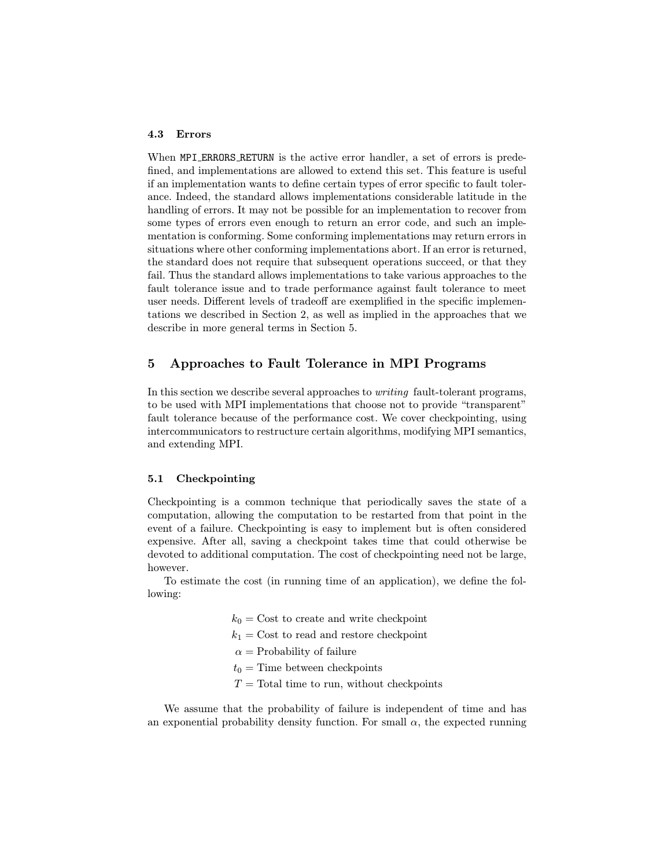#### 4.3 Errors

When MPI ERRORS RETURN is the active error handler, a set of errors is predefined, and implementations are allowed to extend this set. This feature is useful if an implementation wants to define certain types of error specific to fault tolerance. Indeed, the standard allows implementations considerable latitude in the handling of errors. It may not be possible for an implementation to recover from some types of errors even enough to return an error code, and such an implementation is conforming. Some conforming implementations may return errors in situations where other conforming implementations abort. If an error is returned, the standard does not require that subsequent operations succeed, or that they fail. Thus the standard allows implementations to take various approaches to the fault tolerance issue and to trade performance against fault tolerance to meet user needs. Different levels of tradeoff are exemplified in the specific implementations we described in Section 2, as well as implied in the approaches that we describe in more general terms in Section 5.

## 5 Approaches to Fault Tolerance in MPI Programs

In this section we describe several approaches to writing fault-tolerant programs, to be used with MPI implementations that choose not to provide "transparent" fault tolerance because of the performance cost. We cover checkpointing, using intercommunicators to restructure certain algorithms, modifying MPI semantics, and extending MPI.

#### 5.1 Checkpointing

Checkpointing is a common technique that periodically saves the state of a computation, allowing the computation to be restarted from that point in the event of a failure. Checkpointing is easy to implement but is often considered expensive. After all, saving a checkpoint takes time that could otherwise be devoted to additional computation. The cost of checkpointing need not be large, however.

To estimate the cost (in running time of an application), we define the following:

- $k_0$  = Cost to create and write checkpoint
- $k_1$  = Cost to read and restore checkpoint
- $\alpha$  = Probability of failure
- $t_0$  = Time between checkpoints
- $T =$ Total time to run, without checkpoints

We assume that the probability of failure is independent of time and has an exponential probability density function. For small  $\alpha$ , the expected running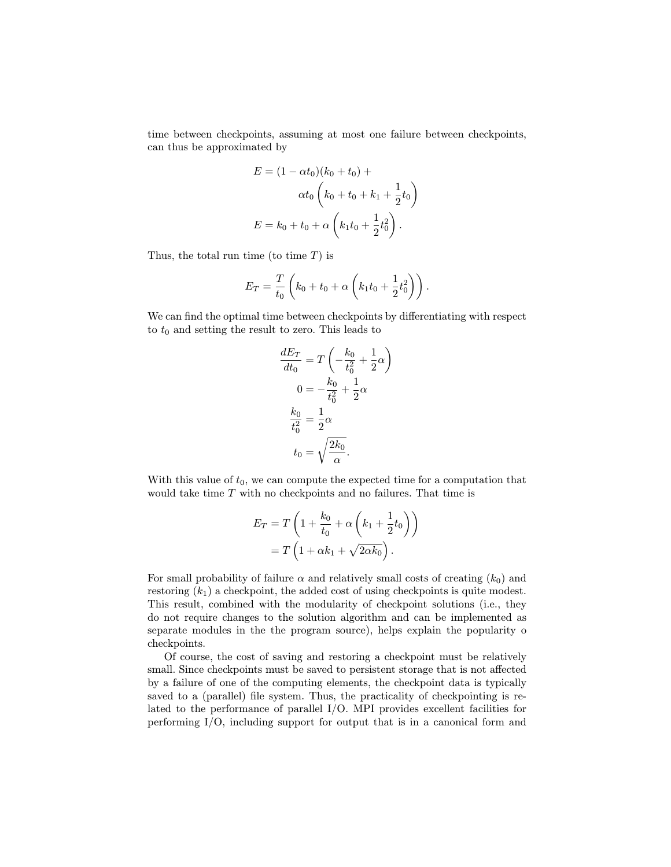time between checkpoints, assuming at most one failure between checkpoints, can thus be approximated by

$$
E = (1 - \alpha t_0)(k_0 + t_0) +
$$
  
\n
$$
\alpha t_0 \left( k_0 + t_0 + k_1 + \frac{1}{2} t_0 \right)
$$
  
\n
$$
E = k_0 + t_0 + \alpha \left( k_1 t_0 + \frac{1}{2} t_0^2 \right).
$$

Thus, the total run time (to time  $T$ ) is

$$
E_T = \frac{T}{t_0} \left( k_0 + t_0 + \alpha \left( k_1 t_0 + \frac{1}{2} t_0^2 \right) \right).
$$

We can find the optimal time between checkpoints by differentiating with respect to  $t_0$  and setting the result to zero. This leads to

$$
\frac{dE_T}{dt_0} = T\left(-\frac{k_0}{t_0^2} + \frac{1}{2}\alpha\right)
$$

$$
0 = -\frac{k_0}{t_0^2} + \frac{1}{2}\alpha
$$

$$
\frac{k_0}{t_0^2} = \frac{1}{2}\alpha
$$

$$
t_0 = \sqrt{\frac{2k_0}{\alpha}}.
$$

With this value of  $t_0$ , we can compute the expected time for a computation that would take time  $T$  with no checkpoints and no failures. That time is

$$
E_T = T\left(1 + \frac{k_0}{t_0} + \alpha\left(k_1 + \frac{1}{2}t_0\right)\right)
$$

$$
= T\left(1 + \alpha k_1 + \sqrt{2\alpha k_0}\right).
$$

For small probability of failure  $\alpha$  and relatively small costs of creating  $(k_0)$  and restoring  $(k_1)$  a checkpoint, the added cost of using checkpoints is quite modest. This result, combined with the modularity of checkpoint solutions (i.e., they do not require changes to the solution algorithm and can be implemented as separate modules in the the program source), helps explain the popularity o checkpoints.

Of course, the cost of saving and restoring a checkpoint must be relatively small. Since checkpoints must be saved to persistent storage that is not affected by a failure of one of the computing elements, the checkpoint data is typically saved to a (parallel) file system. Thus, the practicality of checkpointing is related to the performance of parallel I/O. MPI provides excellent facilities for performing I/O, including support for output that is in a canonical form and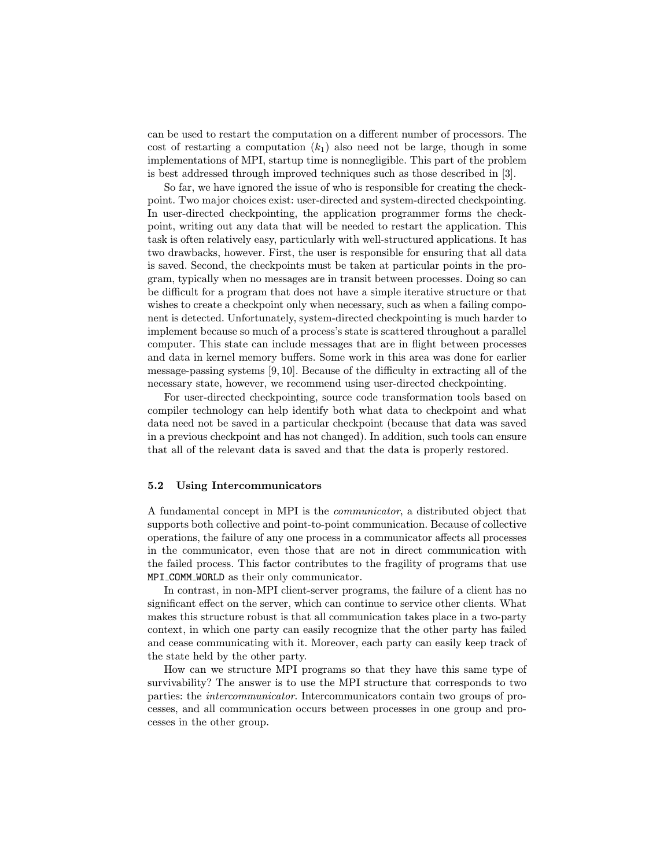can be used to restart the computation on a different number of processors. The cost of restarting a computation  $(k_1)$  also need not be large, though in some implementations of MPI, startup time is nonnegligible. This part of the problem is best addressed through improved techniques such as those described in [3].

So far, we have ignored the issue of who is responsible for creating the checkpoint. Two major choices exist: user-directed and system-directed checkpointing. In user-directed checkpointing, the application programmer forms the checkpoint, writing out any data that will be needed to restart the application. This task is often relatively easy, particularly with well-structured applications. It has two drawbacks, however. First, the user is responsible for ensuring that all data is saved. Second, the checkpoints must be taken at particular points in the program, typically when no messages are in transit between processes. Doing so can be difficult for a program that does not have a simple iterative structure or that wishes to create a checkpoint only when necessary, such as when a failing component is detected. Unfortunately, system-directed checkpointing is much harder to implement because so much of a process's state is scattered throughout a parallel computer. This state can include messages that are in flight between processes and data in kernel memory buffers. Some work in this area was done for earlier message-passing systems [9, 10]. Because of the difficulty in extracting all of the necessary state, however, we recommend using user-directed checkpointing.

For user-directed checkpointing, source code transformation tools based on compiler technology can help identify both what data to checkpoint and what data need not be saved in a particular checkpoint (because that data was saved in a previous checkpoint and has not changed). In addition, such tools can ensure that all of the relevant data is saved and that the data is properly restored.

#### 5.2 Using Intercommunicators

A fundamental concept in MPI is the communicator, a distributed object that supports both collective and point-to-point communication. Because of collective operations, the failure of any one process in a communicator affects all processes in the communicator, even those that are not in direct communication with the failed process. This factor contributes to the fragility of programs that use MPI COMM WORLD as their only communicator.

In contrast, in non-MPI client-server programs, the failure of a client has no significant effect on the server, which can continue to service other clients. What makes this structure robust is that all communication takes place in a two-party context, in which one party can easily recognize that the other party has failed and cease communicating with it. Moreover, each party can easily keep track of the state held by the other party.

How can we structure MPI programs so that they have this same type of survivability? The answer is to use the MPI structure that corresponds to two parties: the intercommunicator. Intercommunicators contain two groups of processes, and all communication occurs between processes in one group and processes in the other group.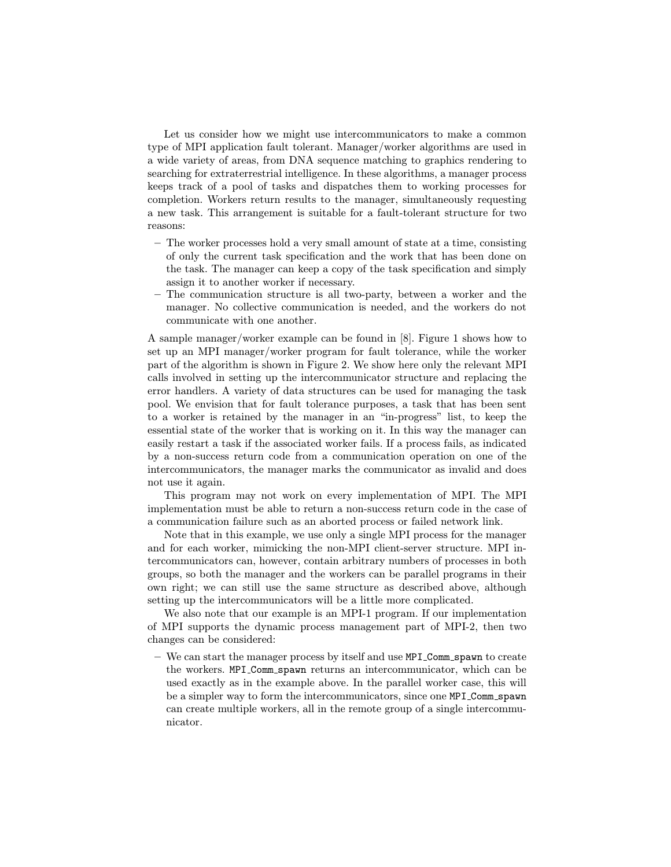Let us consider how we might use intercommunicators to make a common type of MPI application fault tolerant. Manager/worker algorithms are used in a wide variety of areas, from DNA sequence matching to graphics rendering to searching for extraterrestrial intelligence. In these algorithms, a manager process keeps track of a pool of tasks and dispatches them to working processes for completion. Workers return results to the manager, simultaneously requesting a new task. This arrangement is suitable for a fault-tolerant structure for two reasons:

- The worker processes hold a very small amount of state at a time, consisting of only the current task specification and the work that has been done on the task. The manager can keep a copy of the task specification and simply assign it to another worker if necessary.
- The communication structure is all two-party, between a worker and the manager. No collective communication is needed, and the workers do not communicate with one another.

A sample manager/worker example can be found in [8]. Figure 1 shows how to set up an MPI manager/worker program for fault tolerance, while the worker part of the algorithm is shown in Figure 2. We show here only the relevant MPI calls involved in setting up the intercommunicator structure and replacing the error handlers. A variety of data structures can be used for managing the task pool. We envision that for fault tolerance purposes, a task that has been sent to a worker is retained by the manager in an "in-progress" list, to keep the essential state of the worker that is working on it. In this way the manager can easily restart a task if the associated worker fails. If a process fails, as indicated by a non-success return code from a communication operation on one of the intercommunicators, the manager marks the communicator as invalid and does not use it again.

This program may not work on every implementation of MPI. The MPI implementation must be able to return a non-success return code in the case of a communication failure such as an aborted process or failed network link.

Note that in this example, we use only a single MPI process for the manager and for each worker, mimicking the non-MPI client-server structure. MPI intercommunicators can, however, contain arbitrary numbers of processes in both groups, so both the manager and the workers can be parallel programs in their own right; we can still use the same structure as described above, although setting up the intercommunicators will be a little more complicated.

We also note that our example is an MPI-1 program. If our implementation of MPI supports the dynamic process management part of MPI-2, then two changes can be considered:

– We can start the manager process by itself and use MPI Comm spawn to create the workers. MPI Comm spawn returns an intercommunicator, which can be used exactly as in the example above. In the parallel worker case, this will be a simpler way to form the intercommunicators, since one MPI Comm spawn can create multiple workers, all in the remote group of a single intercommunicator.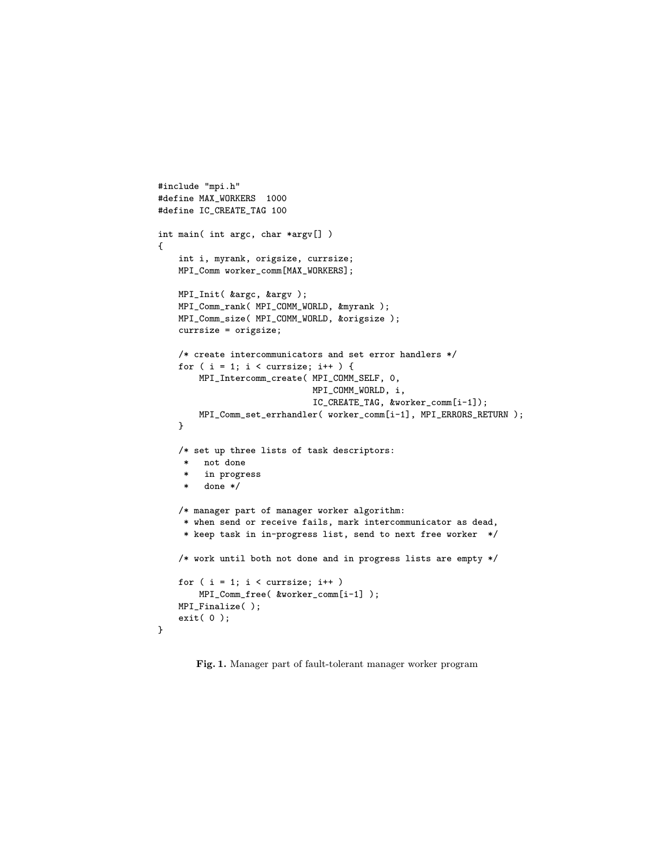```
#include "mpi.h"
#define MAX_WORKERS 1000
#define IC_CREATE_TAG 100
int main( int argc, char *argv[] )
{
    int i, myrank, origsize, currsize;
    MPI_Comm worker_comm[MAX_WORKERS];
    MPI_Init( &argc, &argv );
    MPI_Comm_rank( MPI_COMM_WORLD, &myrank );
    MPI_Comm_size( MPI_COMM_WORLD, &origsize );
    currsize = origsize;
    /* create intercommunicators and set error handlers */
    for ( i = 1; i < currsize; i++ ) {
        MPI_Intercomm_create( MPI_COMM_SELF, 0,
                              MPI_COMM_WORLD, i,
                              IC_CREATE_TAG, &worker_comm[i-1]);
        MPI_Comm_set_errhandler( worker_comm[i-1], MPI_ERRORS_RETURN );
    }
    /* set up three lists of task descriptors:
        not done
     * in progress
     * done */
    /* manager part of manager worker algorithm:
     * when send or receive fails, mark intercommunicator as dead,
     * keep task in in-progress list, send to next free worker */
    /* work until both not done and in progress lists are empty */
    for ( i = 1; i < currsize; i++)MPI_Comm_free( &worker_comm[i-1] );
    MPI_Finalize( );
    exit( 0 );
}
```
Fig. 1. Manager part of fault-tolerant manager worker program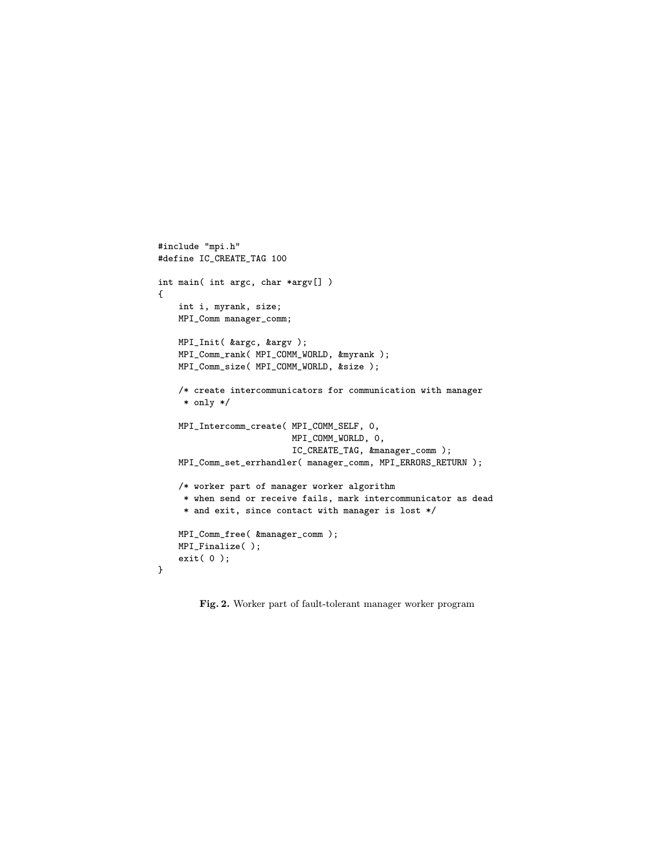```
#include "mpi.h"
#define IC_CREATE_TAG 100
int main( int argc, char *argv[] )
{
    int i, myrank, size;
    MPI_Comm manager_comm;
    MPI_Init( &argc, &argv );
    MPI_Comm_rank( MPI_COMM_WORLD, &myrank );
    MPI_Comm_size( MPI_COMM_WORLD, &size );
    /* create intercommunicators for communication with manager
     * only */
    MPI_Intercomm_create( MPI_COMM_SELF, 0,
                          MPI_COMM_WORLD, 0,
                          IC_CREATE_TAG, &manager_comm );
    MPI_Comm_set_errhandler( manager_comm, MPI_ERRORS_RETURN );
    /* worker part of manager worker algorithm
     * when send or receive fails, mark intercommunicator as dead
     * and exit, since contact with manager is lost */
    MPI_Comm_free( &manager_comm );
    MPI_Finalize( );
    exit( 0 );
}
```
Fig. 2. Worker part of fault-tolerant manager worker program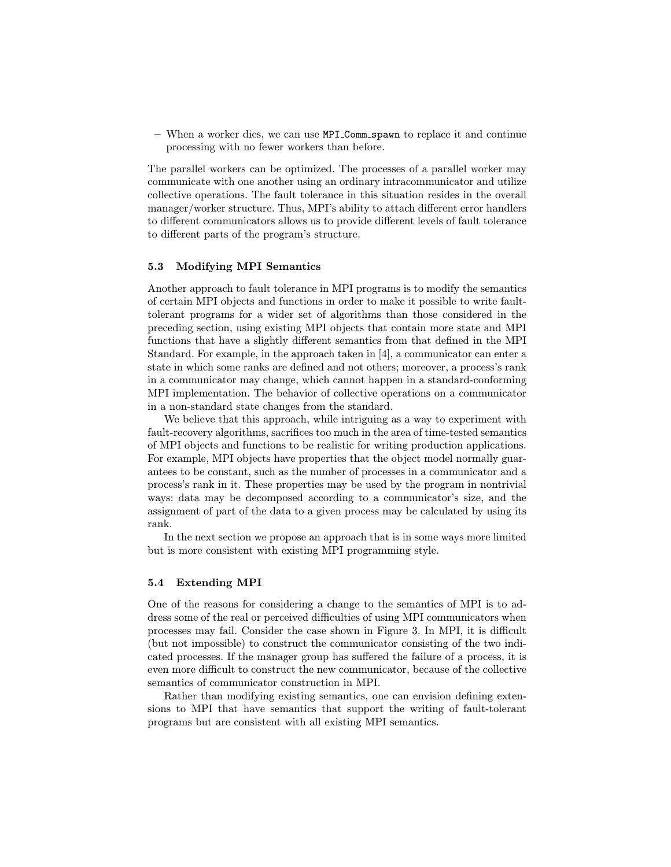– When a worker dies, we can use MPI Comm spawn to replace it and continue processing with no fewer workers than before.

The parallel workers can be optimized. The processes of a parallel worker may communicate with one another using an ordinary intracommunicator and utilize collective operations. The fault tolerance in this situation resides in the overall manager/worker structure. Thus, MPI's ability to attach different error handlers to different communicators allows us to provide different levels of fault tolerance to different parts of the program's structure.

### 5.3 Modifying MPI Semantics

Another approach to fault tolerance in MPI programs is to modify the semantics of certain MPI objects and functions in order to make it possible to write faulttolerant programs for a wider set of algorithms than those considered in the preceding section, using existing MPI objects that contain more state and MPI functions that have a slightly different semantics from that defined in the MPI Standard. For example, in the approach taken in [4], a communicator can enter a state in which some ranks are defined and not others; moreover, a process's rank in a communicator may change, which cannot happen in a standard-conforming MPI implementation. The behavior of collective operations on a communicator in a non-standard state changes from the standard.

We believe that this approach, while intriguing as a way to experiment with fault-recovery algorithms, sacrifices too much in the area of time-tested semantics of MPI objects and functions to be realistic for writing production applications. For example, MPI objects have properties that the object model normally guarantees to be constant, such as the number of processes in a communicator and a process's rank in it. These properties may be used by the program in nontrivial ways: data may be decomposed according to a communicator's size, and the assignment of part of the data to a given process may be calculated by using its rank.

In the next section we propose an approach that is in some ways more limited but is more consistent with existing MPI programming style.

### 5.4 Extending MPI

One of the reasons for considering a change to the semantics of MPI is to address some of the real or perceived difficulties of using MPI communicators when processes may fail. Consider the case shown in Figure 3. In MPI, it is difficult (but not impossible) to construct the communicator consisting of the two indicated processes. If the manager group has suffered the failure of a process, it is even more difficult to construct the new communicator, because of the collective semantics of communicator construction in MPI.

Rather than modifying existing semantics, one can envision defining extensions to MPI that have semantics that support the writing of fault-tolerant programs but are consistent with all existing MPI semantics.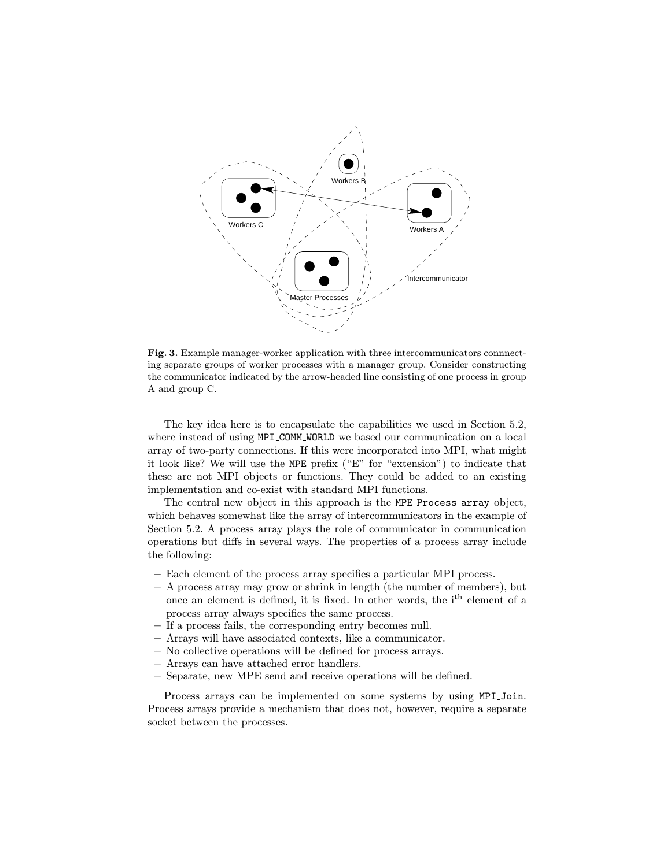

Fig. 3. Example manager-worker application with three intercommunicators connnecting separate groups of worker processes with a manager group. Consider constructing the communicator indicated by the arrow-headed line consisting of one process in group A and group C.

The key idea here is to encapsulate the capabilities we used in Section 5.2, where instead of using MPI COMM WORLD we based our communication on a local array of two-party connections. If this were incorporated into MPI, what might it look like? We will use the MPE prefix ("E" for "extension") to indicate that these are not MPI objects or functions. They could be added to an existing implementation and co-exist with standard MPI functions.

The central new object in this approach is the MPE Process array object, which behaves somewhat like the array of intercommunicators in the example of Section 5.2. A process array plays the role of communicator in communication operations but diffs in several ways. The properties of a process array include the following:

- Each element of the process array specifies a particular MPI process.
- A process array may grow or shrink in length (the number of members), but once an element is defined, it is fixed. In other words, the ith element of a process array always specifies the same process.
- If a process fails, the corresponding entry becomes null.
- Arrays will have associated contexts, like a communicator.
- No collective operations will be defined for process arrays.
- Arrays can have attached error handlers.
- Separate, new MPE send and receive operations will be defined.

Process arrays can be implemented on some systems by using MPI Join. Process arrays provide a mechanism that does not, however, require a separate socket between the processes.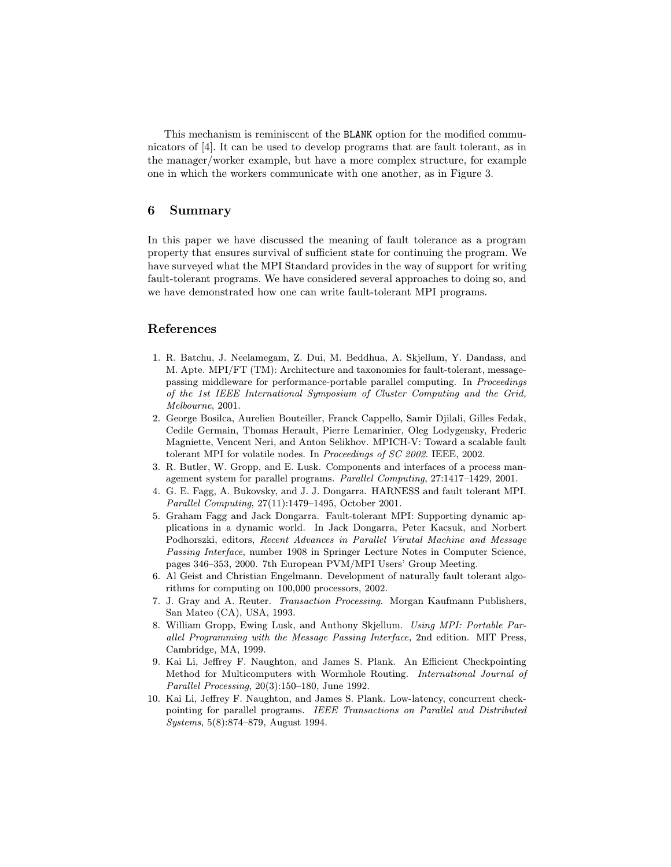This mechanism is reminiscent of the BLANK option for the modified communicators of [4]. It can be used to develop programs that are fault tolerant, as in the manager/worker example, but have a more complex structure, for example one in which the workers communicate with one another, as in Figure 3.

# 6 Summary

In this paper we have discussed the meaning of fault tolerance as a program property that ensures survival of sufficient state for continuing the program. We have surveyed what the MPI Standard provides in the way of support for writing fault-tolerant programs. We have considered several approaches to doing so, and we have demonstrated how one can write fault-tolerant MPI programs.

### References

- 1. R. Batchu, J. Neelamegam, Z. Dui, M. Beddhua, A. Skjellum, Y. Dandass, and M. Apte. MPI/FT (TM): Architecture and taxonomies for fault-tolerant, messagepassing middleware for performance-portable parallel computing. In Proceedings of the 1st IEEE International Symposium of Cluster Computing and the Grid, Melbourne, 2001.
- 2. George Bosilca, Aurelien Bouteiller, Franck Cappello, Samir Djilali, Gilles Fedak, Cedile Germain, Thomas Herault, Pierre Lemarinier, Oleg Lodygensky, Frederic Magniette, Vencent Neri, and Anton Selikhov. MPICH-V: Toward a scalable fault tolerant MPI for volatile nodes. In Proceedings of SC 2002. IEEE, 2002.
- 3. R. Butler, W. Gropp, and E. Lusk. Components and interfaces of a process management system for parallel programs. Parallel Computing, 27:1417–1429, 2001.
- 4. G. E. Fagg, A. Bukovsky, and J. J. Dongarra. HARNESS and fault tolerant MPI. Parallel Computing, 27(11):1479–1495, October 2001.
- 5. Graham Fagg and Jack Dongarra. Fault-tolerant MPI: Supporting dynamic applications in a dynamic world. In Jack Dongarra, Peter Kacsuk, and Norbert Podhorszki, editors, Recent Advances in Parallel Virutal Machine and Message Passing Interface, number 1908 in Springer Lecture Notes in Computer Science, pages 346–353, 2000. 7th European PVM/MPI Users' Group Meeting.
- 6. Al Geist and Christian Engelmann. Development of naturally fault tolerant algorithms for computing on 100,000 processors, 2002.
- 7. J. Gray and A. Reuter. Transaction Processing. Morgan Kaufmann Publishers, San Mateo (CA), USA, 1993.
- 8. William Gropp, Ewing Lusk, and Anthony Skjellum. Using MPI: Portable Parallel Programming with the Message Passing Interface, 2nd edition. MIT Press, Cambridge, MA, 1999.
- 9. Kai Li, Jeffrey F. Naughton, and James S. Plank. An Efficient Checkpointing Method for Multicomputers with Wormhole Routing. International Journal of Parallel Processing, 20(3):150–180, June 1992.
- 10. Kai Li, Jeffrey F. Naughton, and James S. Plank. Low-latency, concurrent checkpointing for parallel programs. IEEE Transactions on Parallel and Distributed Systems, 5(8):874–879, August 1994.